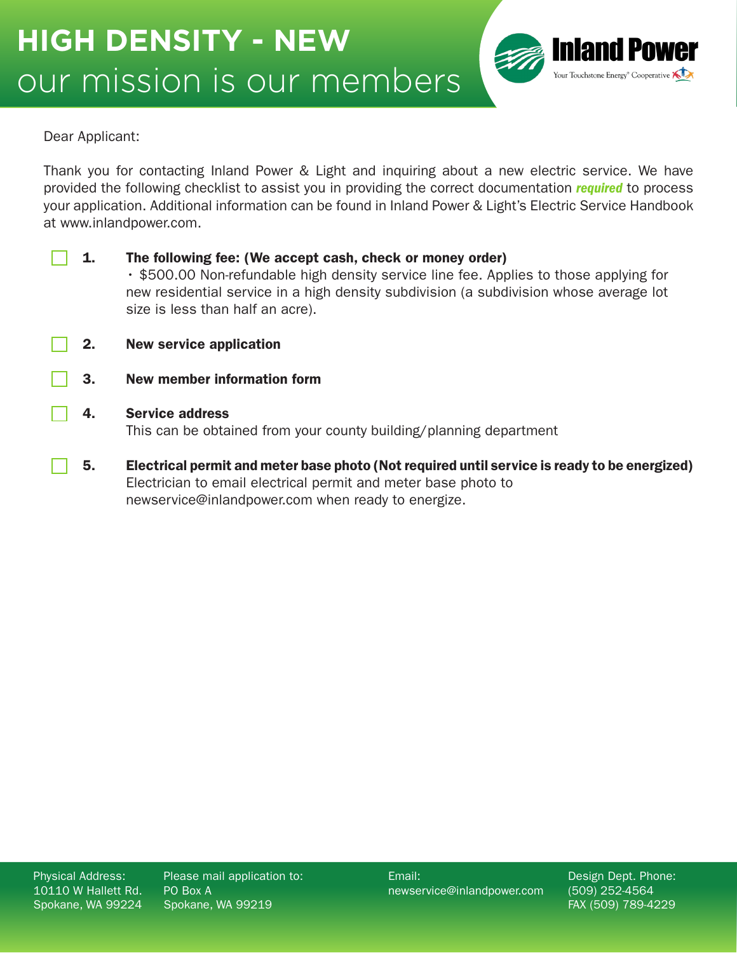

## Dear Applicant:

Thank you for contacting Inland Power & Light and inquiring about a new electric service. We have provided the following checklist to assist you in providing the correct documentation *required* to process your application. Additional information can be found in Inland Power & Light's Electric Service Handbook at www.inlandpower.com.

| 1. | The following fee: (We accept cash, check or money order)<br>• \$500.00 Non-refundable high density service line fee. Applies to those applying for<br>new residential service in a high density subdivision (a subdivision whose average lot<br>size is less than half an acre). |
|----|-----------------------------------------------------------------------------------------------------------------------------------------------------------------------------------------------------------------------------------------------------------------------------------|
| 2. | <b>New service application</b>                                                                                                                                                                                                                                                    |
| 3. | New member information form                                                                                                                                                                                                                                                       |
| 4. | <b>Service address</b><br>This can be obtained from your county building/planning department                                                                                                                                                                                      |
| 5. | Electrical permit and meter base photo (Not required until service is ready to be energized)<br>Electrician to email electrical permit and meter base photo to<br>newservice@inlandpower.com when ready to energize.                                                              |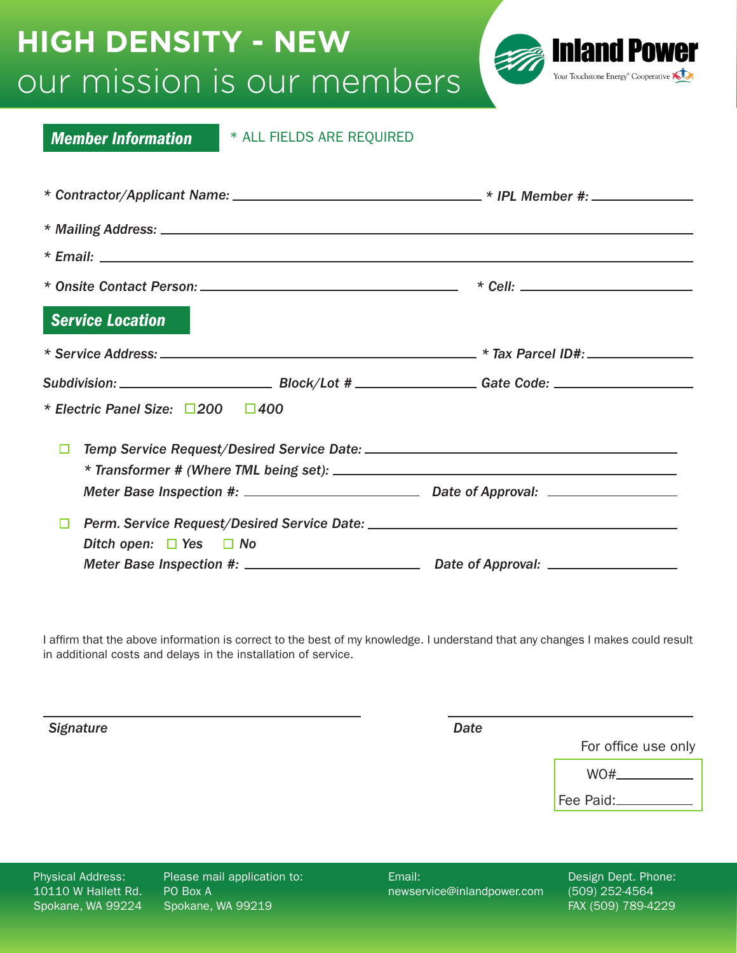## our mission is our members **HIGH DENSITY - NEW**



| <b>Member Information</b>             | * ALL FIELDS ARE REQUIRED |                                                                                                                |  |
|---------------------------------------|---------------------------|----------------------------------------------------------------------------------------------------------------|--|
|                                       |                           |                                                                                                                |  |
|                                       |                           |                                                                                                                |  |
|                                       |                           |                                                                                                                |  |
|                                       |                           |                                                                                                                |  |
| <b>Service Location</b>               |                           |                                                                                                                |  |
|                                       |                           |                                                                                                                |  |
|                                       |                           | Subdivision: _________________________________Block/Lot # ____________________Gate Code: _____________________ |  |
| * Electric Panel Size: □200 □400      |                           |                                                                                                                |  |
| □                                     |                           |                                                                                                                |  |
|                                       |                           |                                                                                                                |  |
| □<br>Ditch open: $\Box$ Yes $\Box$ No |                           |                                                                                                                |  |
|                                       |                           |                                                                                                                |  |

I affirm that the above information is correct to the best of my knowledge. I understand that any changes I makes could result in additional costs and delays in the installation of service.

*Signature Date*

For office use only

| WO#. |  |
|------|--|
|      |  |
|      |  |

Fee Paid:

Physical Address: 10110 W Hallett Rd. Spokane, WA 99224 Please mail application to: PO Box A Spokane, WA 99219

Email: newservice@inlandpower.com Design Dept. Phone: (509) 252-4564 FAX (509) 789-4229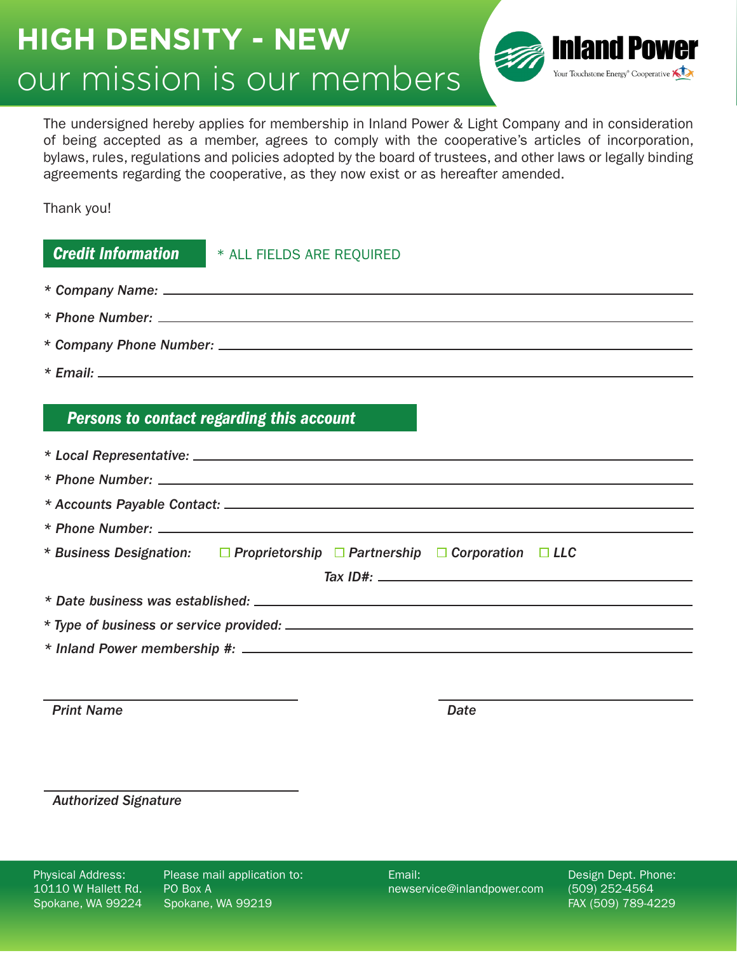## our mission is our members **HIGH DENSITY - NEW**



The undersigned hereby applies for membership in Inland Power & Light Company and in consideration of being accepted as a member, agrees to comply with the cooperative's articles of incorporation, bylaws, rules, regulations and policies adopted by the board of trustees, and other laws or legally binding agreements regarding the cooperative, as they now exist or as hereafter amended.

Thank you!

| <b>Credit Information # ALL FIELDS ARE REQUIRED</b> |                                                                     |                                                                                                                                                                                                                                                                               |  |  |  |  |  |  |
|-----------------------------------------------------|---------------------------------------------------------------------|-------------------------------------------------------------------------------------------------------------------------------------------------------------------------------------------------------------------------------------------------------------------------------|--|--|--|--|--|--|
|                                                     |                                                                     |                                                                                                                                                                                                                                                                               |  |  |  |  |  |  |
|                                                     |                                                                     |                                                                                                                                                                                                                                                                               |  |  |  |  |  |  |
|                                                     |                                                                     |                                                                                                                                                                                                                                                                               |  |  |  |  |  |  |
|                                                     |                                                                     |                                                                                                                                                                                                                                                                               |  |  |  |  |  |  |
|                                                     | Persons to contact regarding this account                           |                                                                                                                                                                                                                                                                               |  |  |  |  |  |  |
|                                                     |                                                                     |                                                                                                                                                                                                                                                                               |  |  |  |  |  |  |
|                                                     |                                                                     |                                                                                                                                                                                                                                                                               |  |  |  |  |  |  |
|                                                     |                                                                     |                                                                                                                                                                                                                                                                               |  |  |  |  |  |  |
|                                                     |                                                                     |                                                                                                                                                                                                                                                                               |  |  |  |  |  |  |
|                                                     | * Business Designation: Deprietorship Deartnership Deproration DLLC |                                                                                                                                                                                                                                                                               |  |  |  |  |  |  |
|                                                     |                                                                     | Tax ID#: $\frac{1}{2}$ Tax ID = $\frac{1}{2}$ Tax ID = $\frac{1}{2}$ Tax ID = $\frac{1}{2}$ Tax ID = $\frac{1}{2}$ Tax ID = $\frac{1}{2}$ Tax ID = $\frac{1}{2}$ Tax ID = $\frac{1}{2}$ Tax ID = $\frac{1}{2}$ Tax ID = $\frac{1}{2}$ Tax ID = $\frac{1}{2}$ Tax ID = $\frac$ |  |  |  |  |  |  |
|                                                     |                                                                     |                                                                                                                                                                                                                                                                               |  |  |  |  |  |  |
|                                                     |                                                                     |                                                                                                                                                                                                                                                                               |  |  |  |  |  |  |
|                                                     |                                                                     |                                                                                                                                                                                                                                                                               |  |  |  |  |  |  |
|                                                     |                                                                     |                                                                                                                                                                                                                                                                               |  |  |  |  |  |  |
| <b>Print Name</b>                                   |                                                                     | Date                                                                                                                                                                                                                                                                          |  |  |  |  |  |  |

*Authorized Signature*

Physical Address: 10110 W Hallett Rd. Spokane, WA 99224

Please mail application to: PO Box A Spokane, WA 99219

Email: newservice@inlandpower.com Design Dept. Phone: (509) 252-4564 FAX (509) 789-4229